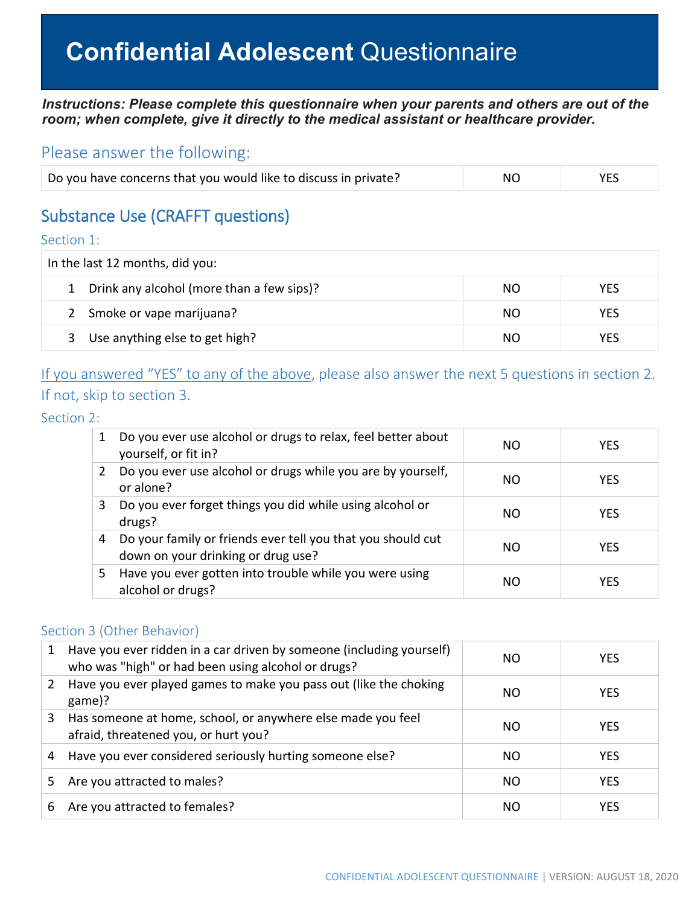# **Confidential Adolescent** Questionnaire

#### *Instructions: Please complete this questionnaire when your parents and others are out of the room; when complete, give it directly to the medical assistant or healthcare provider.*

### Please answer the following:

| Do you have concerns that you would like to discuss in private? | NO | <b>YES</b> |
|-----------------------------------------------------------------|----|------------|
|                                                                 |    |            |

## Substance Use (CRAFFT questions)

Section 1:

| In the last 12 months, did you:                                  |     |            |  |  |
|------------------------------------------------------------------|-----|------------|--|--|
| 1 Drink any alcohol (more than a few sips)?<br><b>YES</b><br>NO. |     |            |  |  |
| 2 Smoke or vape marijuana?                                       | NO. | <b>YES</b> |  |  |
| Use anything else to get high?<br>3                              | NO. | YES        |  |  |

## If you answered "YES" to any of the above, please also answer the next 5 questions in section 2. If not, skip to section 3.

Section 2:

| 1 | Do you ever use alcohol or drugs to relax, feel better about<br>yourself, or fit in?              | ΝO  | <b>YES</b> |
|---|---------------------------------------------------------------------------------------------------|-----|------------|
| 2 | Do you ever use alcohol or drugs while you are by yourself,<br>or alone?                          | NO. | <b>YES</b> |
| 3 | Do you ever forget things you did while using alcohol or<br>drugs?                                | NO. | <b>YES</b> |
| 4 | Do your family or friends ever tell you that you should cut<br>down on your drinking or drug use? | NO. | <b>YES</b> |
| 5 | Have you ever gotten into trouble while you were using<br>alcohol or drugs?                       | NO. | <b>YES</b> |

#### Section 3 (Other Behavior)

| 1  | Have you ever ridden in a car driven by someone (including yourself)<br>who was "high" or had been using alcohol or drugs? | NΟ  | <b>YES</b> |
|----|----------------------------------------------------------------------------------------------------------------------------|-----|------------|
|    | Have you ever played games to make you pass out (like the choking<br>game)?                                                | NΟ  | <b>YES</b> |
| 3  | Has someone at home, school, or anywhere else made you feel<br>afraid, threatened you, or hurt you?                        | NΟ  | <b>YES</b> |
| 4  | Have you ever considered seriously hurting someone else?                                                                   | NΟ  | <b>YES</b> |
| 5. | Are you attracted to males?                                                                                                | NO. | <b>YES</b> |
| 6  | Are you attracted to females?                                                                                              | NΟ  | <b>YES</b> |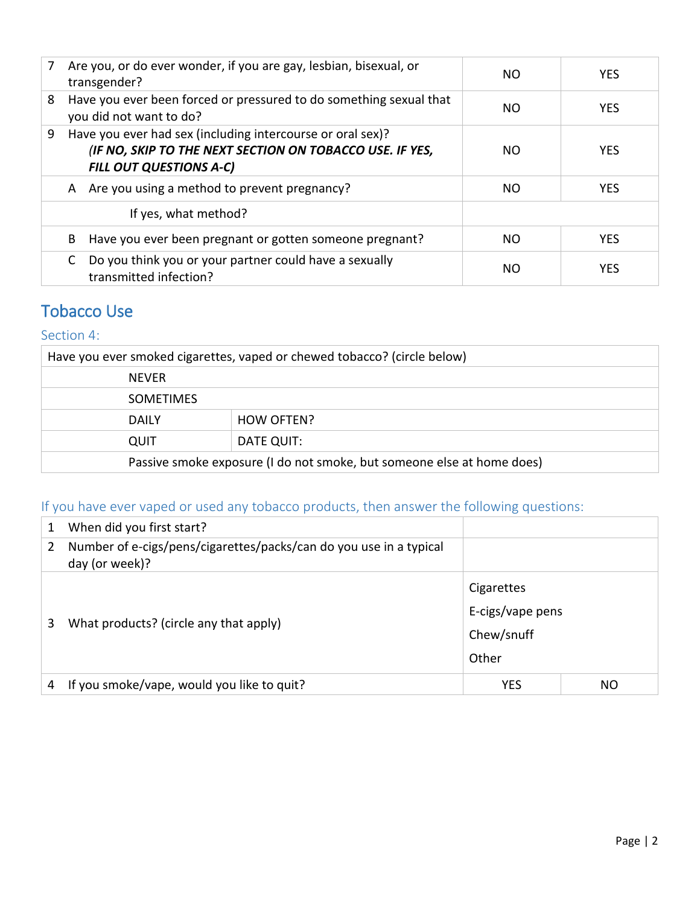| 7 | Are you, or do ever wonder, if you are gay, lesbian, bisexual, or                                                                                 | NO.       | <b>YES</b> |
|---|---------------------------------------------------------------------------------------------------------------------------------------------------|-----------|------------|
|   | transgender?                                                                                                                                      |           |            |
| 8 | Have you ever been forced or pressured to do something sexual that<br>you did not want to do?                                                     | NO.       | <b>YES</b> |
| 9 | Have you ever had sex (including intercourse or oral sex)?<br>(IF NO, SKIP TO THE NEXT SECTION ON TOBACCO USE. IF YES,<br>FILL OUT QUESTIONS A-C) | NO.       | <b>YES</b> |
|   | A Are you using a method to prevent pregnancy?                                                                                                    | NO.       | <b>YES</b> |
|   | If yes, what method?                                                                                                                              |           |            |
|   | Have you ever been pregnant or gotten someone pregnant?<br>B                                                                                      | <b>NO</b> | <b>YES</b> |
|   | Do you think you or your partner could have a sexually<br>C<br>transmitted infection?                                                             | NO.       | <b>YES</b> |

## Tobacco Use

#### Section 4:

| Have you ever smoked cigarettes, vaped or chewed tobacco? (circle below) |            |  |  |  |  |
|--------------------------------------------------------------------------|------------|--|--|--|--|
| <b>NEVER</b>                                                             |            |  |  |  |  |
| <b>SOMETIMES</b>                                                         |            |  |  |  |  |
| <b>DAILY</b>                                                             | HOW OFTEN? |  |  |  |  |
| DATE QUIT:<br>QUIT                                                       |            |  |  |  |  |
| Passive smoke exposure (I do not smoke, but someone else at home does)   |            |  |  |  |  |

## If you have ever vaped or used any tobacco products, then answer the following questions:

| 1 | When did you first start?                                                            |                  |    |  |
|---|--------------------------------------------------------------------------------------|------------------|----|--|
| 2 | Number of e-cigs/pens/cigarettes/packs/can do you use in a typical<br>day (or week)? |                  |    |  |
|   |                                                                                      | Cigarettes       |    |  |
| 3 | What products? (circle any that apply)                                               | E-cigs/vape pens |    |  |
|   |                                                                                      | Chew/snuff       |    |  |
|   |                                                                                      | Other            |    |  |
| 4 | If you smoke/vape, would you like to quit?                                           | YES              | NO |  |